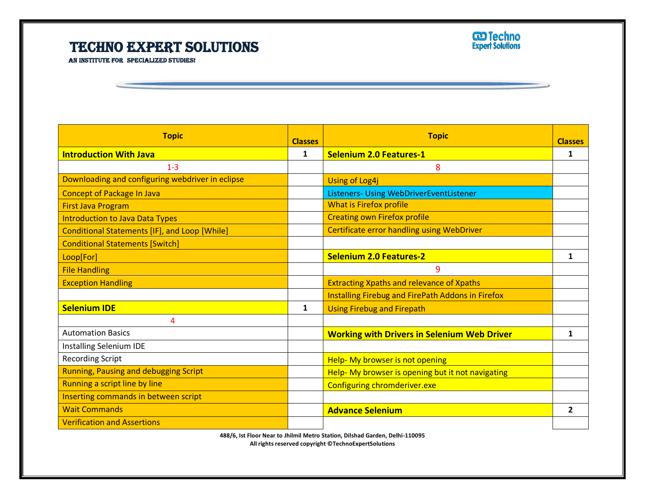## Techno Expert Solutions

l



AN INSTITUTE FOR SPECIALIZED STUDIES!

| <b>Topic</b>                                     | <b>Classes</b> | <b>Topic</b>                                       | <b>Classes</b> |
|--------------------------------------------------|----------------|----------------------------------------------------|----------------|
| <b>Introduction With Java</b>                    | $\mathbf{1}$   | <b>Selenium 2.0 Features-1</b>                     | 1              |
| $1-3$                                            |                | 8                                                  |                |
| Downloading and configuring webdriver in eclipse |                | <b>Using of Log4j</b>                              |                |
| <b>Concept of Package In Java</b>                |                | Listeners- Using WebDriverEventListener            |                |
| <b>First Java Program</b>                        |                | <b>What is Firefox profile</b>                     |                |
| <b>Introduction to Java Data Types</b>           |                | <b>Creating own Firefox profile</b>                |                |
| Conditional Statements [IF], and Loop [While]    |                | <b>Certificate error handling using WebDriver</b>  |                |
| <b>Conditional Statements [Switch]</b>           |                |                                                    |                |
| Loop[For]                                        |                | <b>Selenium 2.0 Features-2</b>                     | 1              |
| <b>File Handling</b>                             |                | 9                                                  |                |
| <b>Exception Handling</b>                        |                | <b>Extracting Xpaths and relevance of Xpaths</b>   |                |
|                                                  |                | Installing Firebug and FirePath Addons in Firefox  |                |
| <b>Selenium IDE</b>                              | 1              | <b>Using Firebug and Firepath</b>                  |                |
| 4                                                |                |                                                    |                |
| <b>Automation Basics</b>                         |                | <b>Working with Drivers in Selenium Web Driver</b> | 1              |
| Installing Selenium IDE                          |                |                                                    |                |
| <b>Recording Script</b>                          |                | Help- My browser is not opening                    |                |
| <b>Running, Pausing and debugging Script</b>     |                | Help-My browser is opening but it not navigating   |                |
| Running a script line by line                    |                | Configuring chromderiver.exe                       |                |
| Inserting commands in between script             |                |                                                    |                |
| <b>Wait Commands</b>                             |                | <b>Advance Selenium</b>                            | 2              |
| <b>Verification and Assertions</b>               |                |                                                    |                |

Ī

**488/6, Ist Floor Near to Jhilmil Metro Station, Dilshad Garden, Delhi-110095 All rights reserved copyright ©TechnoExpertSolutions**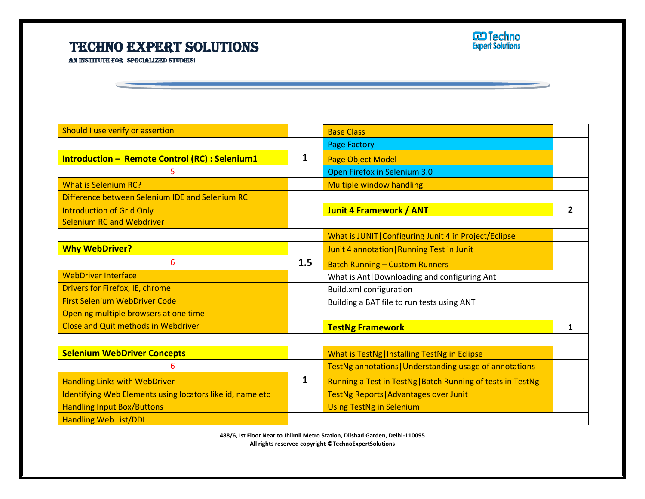## Techno Expert Solutions

l



AN INSTITUTE FOR SPECIALIZED STUDIES!

| Should I use verify or assertion                          |     | <b>Base Class</b>                                           |   |
|-----------------------------------------------------------|-----|-------------------------------------------------------------|---|
|                                                           |     | <b>Page Factory</b>                                         |   |
| <b>Introduction - Remote Control (RC) : Selenium1</b>     | 1   | Page Object Model                                           |   |
| 5                                                         |     | Open Firefox in Selenium 3.0                                |   |
| <b>What is Selenium RC?</b>                               |     | <b>Multiple window handling</b>                             |   |
| Difference between Selenium IDE and Selenium RC           |     |                                                             |   |
| <b>Introduction of Grid Only</b>                          |     | <b>Junit 4 Framework / ANT</b>                              | 2 |
| <b>Selenium RC and Webdriver</b>                          |     |                                                             |   |
|                                                           |     | What is JUNIT   Configuring Junit 4 in Project/Eclipse      |   |
| <b>Why WebDriver?</b>                                     |     | Junit 4 annotation   Running Test in Junit                  |   |
| 6                                                         | 1.5 | <b>Batch Running - Custom Runners</b>                       |   |
| <b>WebDriver Interface</b>                                |     | What is Ant   Downloading and configuring Ant               |   |
| Drivers for Firefox, IE, chrome                           |     | Build.xml configuration                                     |   |
| <b>First Selenium WebDriver Code</b>                      |     | Building a BAT file to run tests using ANT                  |   |
| Opening multiple browsers at one time                     |     |                                                             |   |
| <b>Close and Quit methods in Webdriver</b>                |     | <b>TestNg Framework</b>                                     | 1 |
|                                                           |     |                                                             |   |
| <b>Selenium WebDriver Concepts</b>                        |     | What is TestNg   Installing TestNg in Eclipse               |   |
| 6                                                         |     | TestNg annotations   Understanding usage of annotations     |   |
| <b>Handling Links with WebDriver</b>                      | 1   | Running a Test in TestNg   Batch Running of tests in TestNg |   |
| Identifying Web Elements using locators like id, name etc |     | TestNg Reports   Advantages over Junit                      |   |
| <b>Handling Input Box/Buttons</b>                         |     | <b>Using TestNg in Selenium</b>                             |   |
| <b>Handling Web List/DDL</b>                              |     |                                                             |   |

Ī

**488/6, Ist Floor Near to Jhilmil Metro Station, Dilshad Garden, Delhi-110095 All rights reserved copyright ©TechnoExpertSolutions**